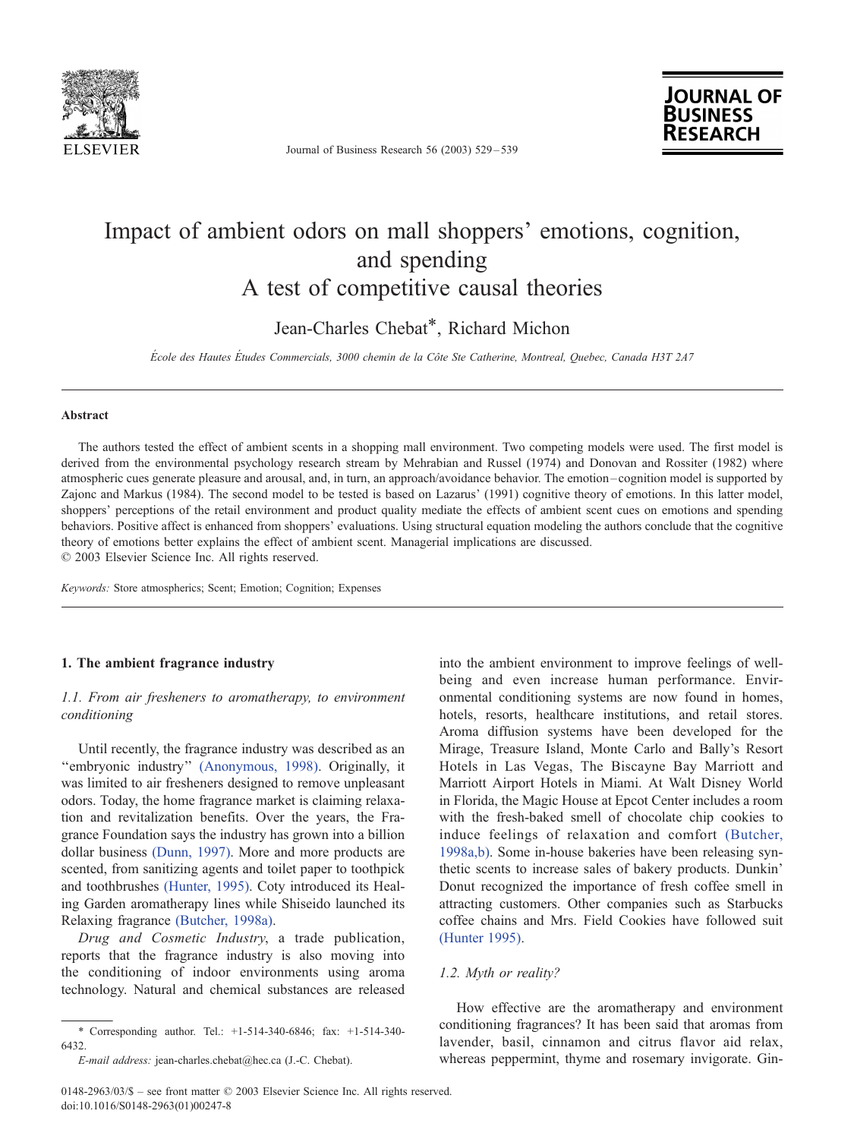

Journal of Business Research 56 (2003) 529 – 539

**JOURNAL OF**<br>**BUSINESS** 

# Impact of ambient odors on mall shoppers' emotions, cognition, and spending A test of competitive causal theories

Jean-Charles Chebat\*, Richard Michon

École des Hautes Études Commercials, 3000 chemin de la Côte Ste Catherine, Montreal, Quebec, Canada H3T 2A7

#### Abstract

The authors tested the effect of ambient scents in a shopping mall environment. Two competing models were used. The first model is derived from the environmental psychology research stream by Mehrabian and Russel (1974) and Donovan and Rossiter (1982) where atmospheric cues generate pleasure and arousal, and, in turn, an approach/avoidance behavior. The emotion –cognition model is supported by Zajonc and Markus (1984). The second model to be tested is based on Lazarus' (1991) cognitive theory of emotions. In this latter model, shoppers' perceptions of the retail environment and product quality mediate the effects of ambient scent cues on emotions and spending behaviors. Positive affect is enhanced from shoppers' evaluations. Using structural equation modeling the authors conclude that the cognitive theory of emotions better explains the effect of ambient scent. Managerial implications are discussed.  $© 2003 Elsevier Science Inc. All rights reserved.$ 

Keywords: Store atmospherics; Scent; Emotion; Cognition; Expenses

# 1. The ambient fragrance industry

# 1.1. From air fresheners to aromatherapy, to environment conditioning

Until recently, the fragrance industry was described as an "embryonic industry" [\(Anonymous, 1998\).](#page-9-0) Originally, it was limited to air fresheners designed to remove unpleasant odors. Today, the home fragrance market is claiming relaxation and revitalization benefits. Over the years, the Fragrance Foundation says the industry has grown into a billion dollar business [\(Dunn, 1997\).](#page-9-0) More and more products are scented, from sanitizing agents and toilet paper to toothpick and toothbrushes [\(Hunter, 1995\).](#page-10-0) Coty introduced its Healing Garden aromatherapy lines while Shiseido launched its Relaxing fragrance [\(Butcher, 1998a\).](#page-9-0)

Drug and Cosmetic Industry, a trade publication, reports that the fragrance industry is also moving into the conditioning of indoor environments using aroma technology. Natural and chemical substances are released

into the ambient environment to improve feelings of wellbeing and even increase human performance. Environmental conditioning systems are now found in homes, hotels, resorts, healthcare institutions, and retail stores. Aroma diffusion systems have been developed for the Mirage, Treasure Island, Monte Carlo and Bally's Resort Hotels in Las Vegas, The Biscayne Bay Marriott and Marriott Airport Hotels in Miami. At Walt Disney World in Florida, the Magic House at Epcot Center includes a room with the fresh-baked smell of chocolate chip cookies to induce feelings of relaxation and comfort [\(Butcher,](#page-9-0) 1998a,b). Some in-house bakeries have been releasing synthetic scents to increase sales of bakery products. Dunkin' Donut recognized the importance of fresh coffee smell in attracting customers. Other companies such as Starbucks coffee chains and Mrs. Field Cookies have followed suit [\(Hunter 1995\).](#page-10-0)

## 1.2. Myth or reality?

How effective are the aromatherapy and environment conditioning fragrances? It has been said that aromas from lavender, basil, cinnamon and citrus flavor aid relax, whereas peppermint, thyme and rosemary invigorate. Gin-

<sup>\*</sup> Corresponding author. Tel.: +1-514-340-6846; fax: +1-514-340- 6432.

E-mail address: jean-charles.chebat@hec.ca (J.-C. Chebat).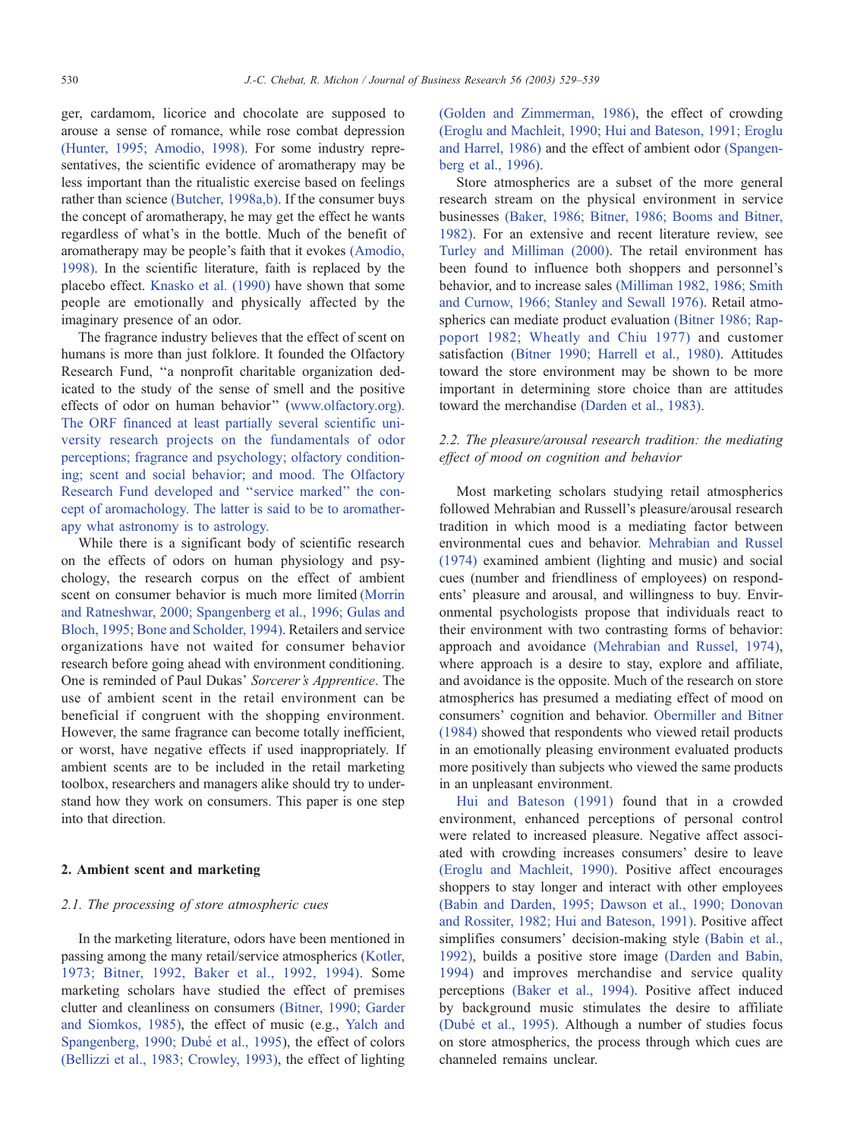ger, cardamom, licorice and chocolate are supposed to arouse a sense of romance, while rose combat depression [\(Hunter, 1995; Amodio, 1998\).](#page-10-0) For some industry representatives, the scientific evidence of aromatherapy may be less important than the ritualistic exercise based on feelings rather than science [\(Butcher, 1998a,b\).](#page-9-0) If the consumer buys the concept of aromatherapy, he may get the effect he wants regardless of what's in the bottle. Much of the benefit of aromatherapy may be people's faith that it evokes [\(Amodio,](#page-9-0) 1998). In the scientific literature, faith is replaced by the placebo effect. [Knasko et al. \(1990\)](#page-10-0) have shown that some people are emotionally and physically affected by the imaginary presence of an odor.

The fragrance industry believes that the effect of scent on humans is more than just folklore. It founded the Olfactory Research Fund, ''a nonprofit charitable organization dedicated to the study of the sense of smell and the positive effects of odor on human behavior'' ([www.olfactory.org\)]( www.olfactory.org ). The ORF financed at least partially several scientific university research projects on the fundamentals of odor perceptions; fragrance and psychology; olfactory conditioning; scent and social behavior; and mood. The Olfactory Research Fund developed and ''service marked'' the concept of aromachology. The latter is said to be to aromatherapy what astronomy is to astrology.

While there is a significant body of scientific research on the effects of odors on human physiology and psychology, the research corpus on the effect of ambient scent on consumer behavior is much more limited [\(Morrin](#page-10-0) and Ratneshwar, 2000; Spangenberg et al., 1996; Gulas and Bloch, 1995; Bone and Scholder, 1994). Retailers and service organizations have not waited for consumer behavior research before going ahead with environment conditioning. One is reminded of Paul Dukas' Sorcerer's Apprentice. The use of ambient scent in the retail environment can be beneficial if congruent with the shopping environment. However, the same fragrance can become totally inefficient, or worst, have negative effects if used inappropriately. If ambient scents are to be included in the retail marketing toolbox, researchers and managers alike should try to understand how they work on consumers. This paper is one step into that direction.

## 2. Ambient scent and marketing

## 2.1. The processing of store atmospheric cues

In the marketing literature, odors have been mentioned in passing among the many retail/service atmospherics [\(Kotler,](#page-10-0) 1973; Bitner, 1992, Baker et al., 1992, 1994). Some marketing scholars have studied the effect of premises clutter and cleanliness on consumers [\(Bitner, 1990; Garder](#page-9-0) and Siomkos, 1985), the effect of music (e.g., [Yalch and](#page-10-0) Spangenberg, 1990; Dubé et al., 1995), the effect of colors [\(Bellizzi et al., 1983; Crowley, 1993\),](#page-9-0) the effect of lighting [\(Golden and Zimmerman, 1986\),](#page-9-0) the effect of crowding [\(Eroglu and Machleit, 1990; Hui and Bateson, 1991; Eroglu](#page-9-0) and Harrel, 1986) and the effect of ambient odor [\(Spangen](#page-10-0)berg et al., 1996).

Store atmospherics are a subset of the more general research stream on the physical environment in service businesses [\(Baker, 1986; Bitner, 1986; Booms and Bitner,](#page-9-0) 1982). For an extensive and recent literature review, see [Turley and Milliman \(2000\).](#page-10-0) The retail environment has been found to influence both shoppers and personnel's behavior, and to increase sales [\(Milliman 1982, 1986; Smith](#page-10-0) and Curnow, 1966; Stanley and Sewall 1976). Retail atmospherics can mediate product evaluation [\(Bitner 1986; Rap](#page-9-0)poport 1982; Wheatly and Chiu 1977) and customer satisfaction [\(Bitner 1990; Harrell et al., 1980\).](#page-9-0) Attitudes toward the store environment may be shown to be more important in determining store choice than are attitudes toward the merchandise [\(Darden et al., 1983\).](#page-9-0)

# 2.2. The pleasure/arousal research tradition: the mediating effect of mood on cognition and behavior

Most marketing scholars studying retail atmospherics followed Mehrabian and Russell's pleasure/arousal research tradition in which mood is a mediating factor between environmental cues and behavior. [Mehrabian and Russel](#page-10-0) (1974) examined ambient (lighting and music) and social cues (number and friendliness of employees) on respondents' pleasure and arousal, and willingness to buy. Environmental psychologists propose that individuals react to their environment with two contrasting forms of behavior: approach and avoidance [\(Mehrabian and Russel, 1974\),](#page-10-0) where approach is a desire to stay, explore and affiliate, and avoidance is the opposite. Much of the research on store atmospherics has presumed a mediating effect of mood on consumers' cognition and behavior. [Obermiller and Bitner](#page-10-0) (1984) showed that respondents who viewed retail products in an emotionally pleasing environment evaluated products more positively than subjects who viewed the same products in an unpleasant environment.

[Hui and Bateson \(1991\)](#page-9-0) found that in a crowded environment, enhanced perceptions of personal control were related to increased pleasure. Negative affect associated with crowding increases consumers' desire to leave [\(Eroglu and Machleit, 1990\).](#page-9-0) Positive affect encourages shoppers to stay longer and interact with other employees [\(Babin and Darden, 1995; Dawson et al., 1990; Donovan](#page-9-0) and Rossiter, 1982; Hui and Bateson, 1991). Positive affect simplifies consumers' decision-making style [\(Babin et al.,](#page-9-0) 1992), builds a positive store image [\(Darden and Babin,](#page-9-0) 1994) and improves merchandise and service quality perceptions [\(Baker et al., 1994\).](#page-9-0) Positive affect induced by background music stimulates the desire to affiliate (Dube´ [et al., 1995\).](#page-9-0) Although a number of studies focus on store atmospherics, the process through which cues are channeled remains unclear.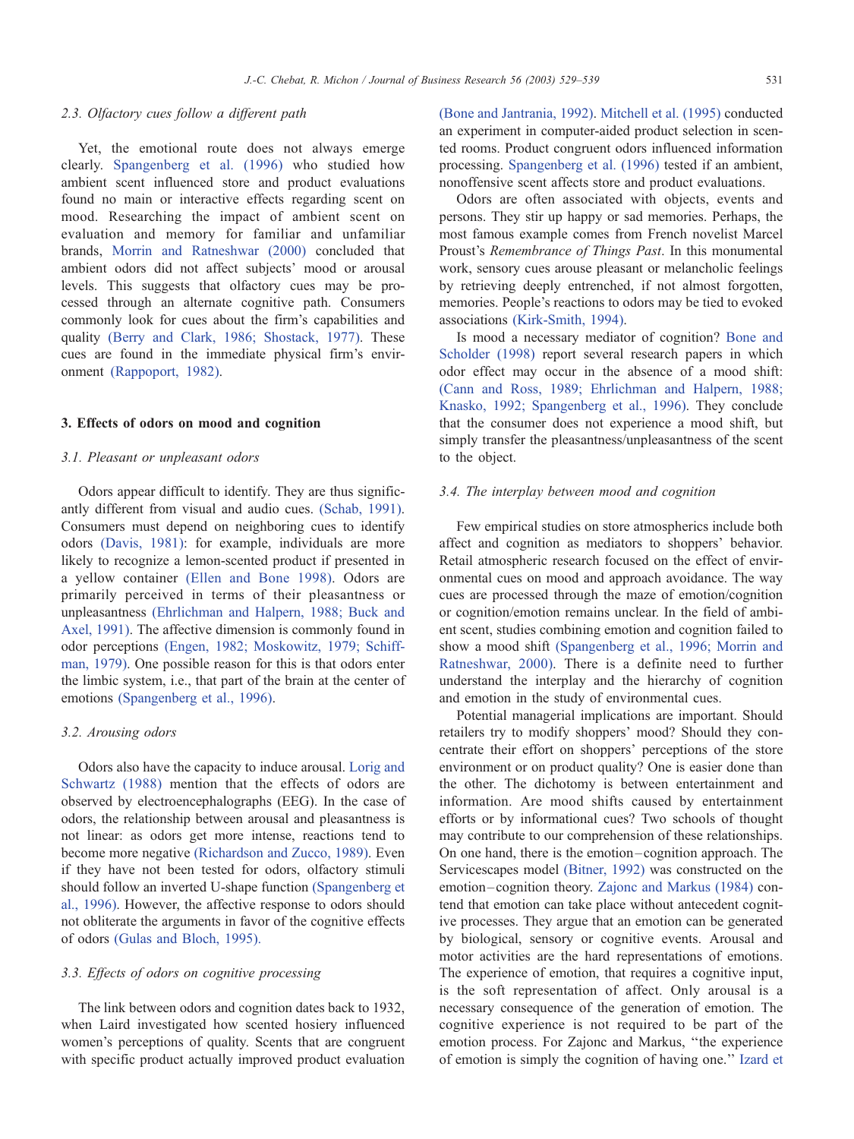#### 2.3. Olfactory cues follow a different path

Yet, the emotional route does not always emerge clearly. [Spangenberg et al. \(1996\)](#page-10-0) who studied how ambient scent influenced store and product evaluations found no main or interactive effects regarding scent on mood. Researching the impact of ambient scent on evaluation and memory for familiar and unfamiliar brands, [Morrin and Ratneshwar \(2000\)](#page-10-0) concluded that ambient odors did not affect subjects' mood or arousal levels. This suggests that olfactory cues may be processed through an alternate cognitive path. Consumers commonly look for cues about the firm's capabilities and quality [\(Berry and Clark, 1986; Shostack, 1977\).](#page-9-0) These cues are found in the immediate physical firm's environment [\(Rappoport, 1982\).](#page-10-0)

#### 3. Effects of odors on mood and cognition

## 3.1. Pleasant or unpleasant odors

Odors appear difficult to identify. They are thus significantly different from visual and audio cues. [\(Schab, 1991\).](#page-10-0) Consumers must depend on neighboring cues to identify odors [\(Davis, 1981\):](#page-9-0) for example, individuals are more likely to recognize a lemon-scented product if presented in a yellow container [\(Ellen and Bone 1998\).](#page-9-0) Odors are primarily perceived in terms of their pleasantness or unpleasantness [\(Ehrlichman and Halpern, 1988; Buck and](#page-9-0) Axel, 1991). The affective dimension is commonly found in odor perceptions [\(Engen, 1982; Moskowitz, 1979; Schiff](#page-9-0)man, 1979). One possible reason for this is that odors enter the limbic system, i.e., that part of the brain at the center of emotions [\(Spangenberg et al., 1996\).](#page-10-0)

#### 3.2. Arousing odors

Odors also have the capacity to induce arousal. [Lorig and](#page-10-0) Schwartz (1988) mention that the effects of odors are observed by electroencephalographs (EEG). In the case of odors, the relationship between arousal and pleasantness is not linear: as odors get more intense, reactions tend to become more negative [\(Richardson and Zucco, 1989\).](#page-10-0) Even if they have not been tested for odors, olfactory stimuli should follow an inverted U-shape function [\(Spangenberg et](#page-10-0) al., 1996). However, the affective response to odors should not obliterate the arguments in favor of the cognitive effects of odors [\(Gulas and Bloch, 1995\).](#page-9-0)

## 3.3. Effects of odors on cognitive processing

The link between odors and cognition dates back to 1932, when Laird investigated how scented hosiery influenced women's perceptions of quality. Scents that are congruent with specific product actually improved product evaluation [\(Bone and Jantrania, 1992\).](#page-9-0) [Mitchell et al. \(1995\)](#page-10-0) conducted an experiment in computer-aided product selection in scented rooms. Product congruent odors influenced information processing. [Spangenberg et al. \(1996\)](#page-10-0) tested if an ambient, nonoffensive scent affects store and product evaluations.

Odors are often associated with objects, events and persons. They stir up happy or sad memories. Perhaps, the most famous example comes from French novelist Marcel Proust's Remembrance of Things Past. In this monumental work, sensory cues arouse pleasant or melancholic feelings by retrieving deeply entrenched, if not almost forgotten, memories. People's reactions to odors may be tied to evoked associations [\(Kirk-Smith, 1994\).](#page-10-0)

Is mood a necessary mediator of cognition? [Bone and](#page-9-0) Scholder (1998) report several research papers in which odor effect may occur in the absence of a mood shift: [\(Cann and Ross, 1989; Ehrlichman and Halpern, 1988;](#page-9-0) Knasko, 1992; Spangenberg et al., 1996). They conclude that the consumer does not experience a mood shift, but simply transfer the pleasantness/unpleasantness of the scent to the object.

#### 3.4. The interplay between mood and cognition

Few empirical studies on store atmospherics include both affect and cognition as mediators to shoppers' behavior. Retail atmospheric research focused on the effect of environmental cues on mood and approach avoidance. The way cues are processed through the maze of emotion/cognition or cognition/emotion remains unclear. In the field of ambient scent, studies combining emotion and cognition failed to show a mood shift [\(Spangenberg et al., 1996; Morrin and](#page-10-0) Ratneshwar, 2000). There is a definite need to further understand the interplay and the hierarchy of cognition and emotion in the study of environmental cues.

Potential managerial implications are important. Should retailers try to modify shoppers' mood? Should they concentrate their effort on shoppers' perceptions of the store environment or on product quality? One is easier done than the other. The dichotomy is between entertainment and information. Are mood shifts caused by entertainment efforts or by informational cues? Two schools of thought may contribute to our comprehension of these relationships. On one hand, there is the emotion –cognition approach. The Servicescapes model [\(Bitner, 1992\)](#page-9-0) was constructed on the emotion –cognition theory. [Zajonc and Markus \(1984\)](#page-10-0) contend that emotion can take place without antecedent cognitive processes. They argue that an emotion can be generated by biological, sensory or cognitive events. Arousal and motor activities are the hard representations of emotions. The experience of emotion, that requires a cognitive input, is the soft representation of affect. Only arousal is a necessary consequence of the generation of emotion. The cognitive experience is not required to be part of the emotion process. For Zajonc and Markus, ''the experience of emotion is simply the cognition of having one.'' [Izard et](#page-10-0)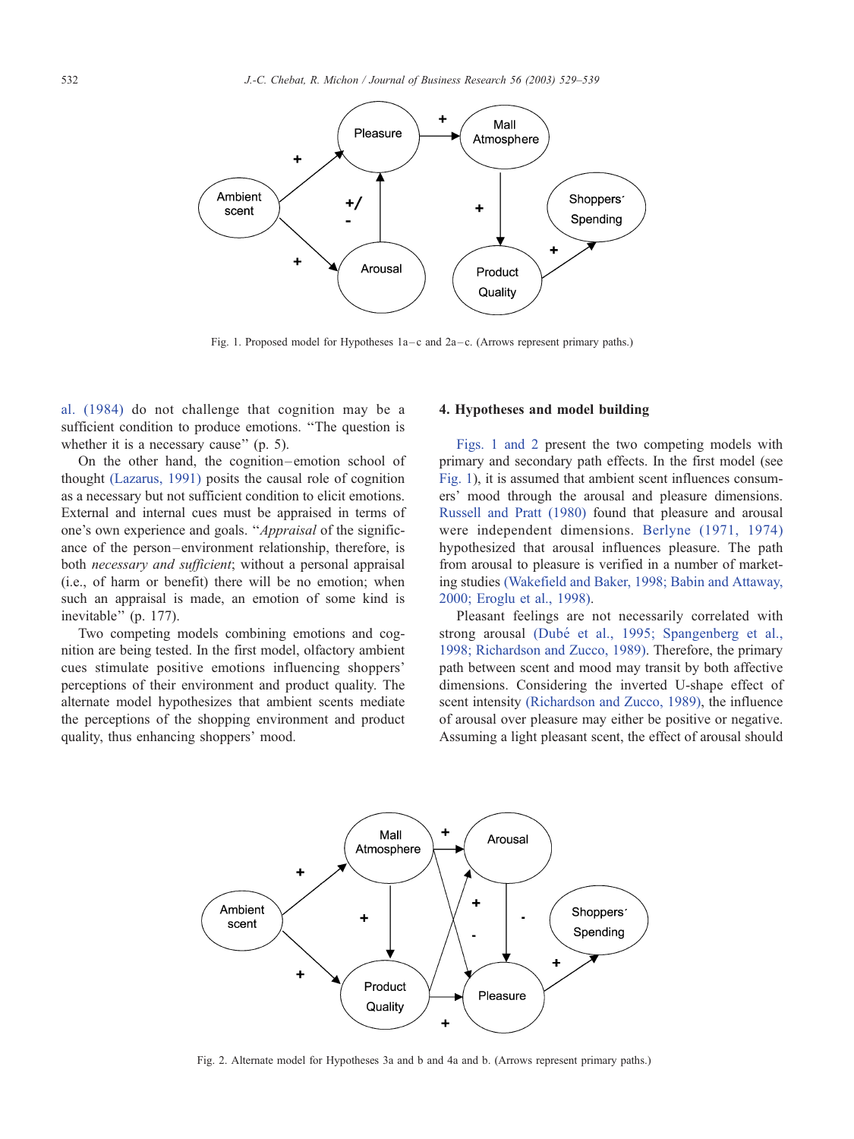<span id="page-3-0"></span>

Fig. 1. Proposed model for Hypotheses  $1a-c$  and  $2a-c$ . (Arrows represent primary paths.)

al. (1984) do not challenge that cognition may be a sufficient condition to produce emotions. ''The question is whether it is a necessary cause" (p. 5).

On the other hand, the cognition –emotion school of thought [\(Lazarus, 1991\)](#page-10-0) posits the causal role of cognition as a necessary but not sufficient condition to elicit emotions. External and internal cues must be appraised in terms of one's own experience and goals. ''Appraisal of the significance of the person –environment relationship, therefore, is both necessary and sufficient; without a personal appraisal (i.e., of harm or benefit) there will be no emotion; when such an appraisal is made, an emotion of some kind is inevitable'' (p. 177).

Two competing models combining emotions and cognition are being tested. In the first model, olfactory ambient cues stimulate positive emotions influencing shoppers' perceptions of their environment and product quality. The alternate model hypothesizes that ambient scents mediate the perceptions of the shopping environment and product quality, thus enhancing shoppers' mood.

## 4. Hypotheses and model building

Figs. 1 and 2 present the two competing models with primary and secondary path effects. In the first model (see Fig. 1), it is assumed that ambient scent influences consumers' mood through the arousal and pleasure dimensions. [Russell and Pratt \(1980\)](#page-10-0) found that pleasure and arousal were independent dimensions. [Berlyne \(1971, 1974\)](#page-9-0) hypothesized that arousal influences pleasure. The path from arousal to pleasure is verified in a number of marketing studies [\(Wakefield and Baker, 1998; Babin and Attaway,](#page-10-0) 2000; Eroglu et al., 1998).

Pleasant feelings are not necessarily correlated with strong arousal (Dubé [et al., 1995; Spangenberg et al.,](#page-9-0) 1998; Richardson and Zucco, 1989). Therefore, the primary path between scent and mood may transit by both affective dimensions. Considering the inverted U-shape effect of scent intensity [\(Richardson and Zucco, 1989\),](#page-10-0) the influence of arousal over pleasure may either be positive or negative. Assuming a light pleasant scent, the effect of arousal should



Fig. 2. Alternate model for Hypotheses 3a and b and 4a and b. (Arrows represent primary paths.)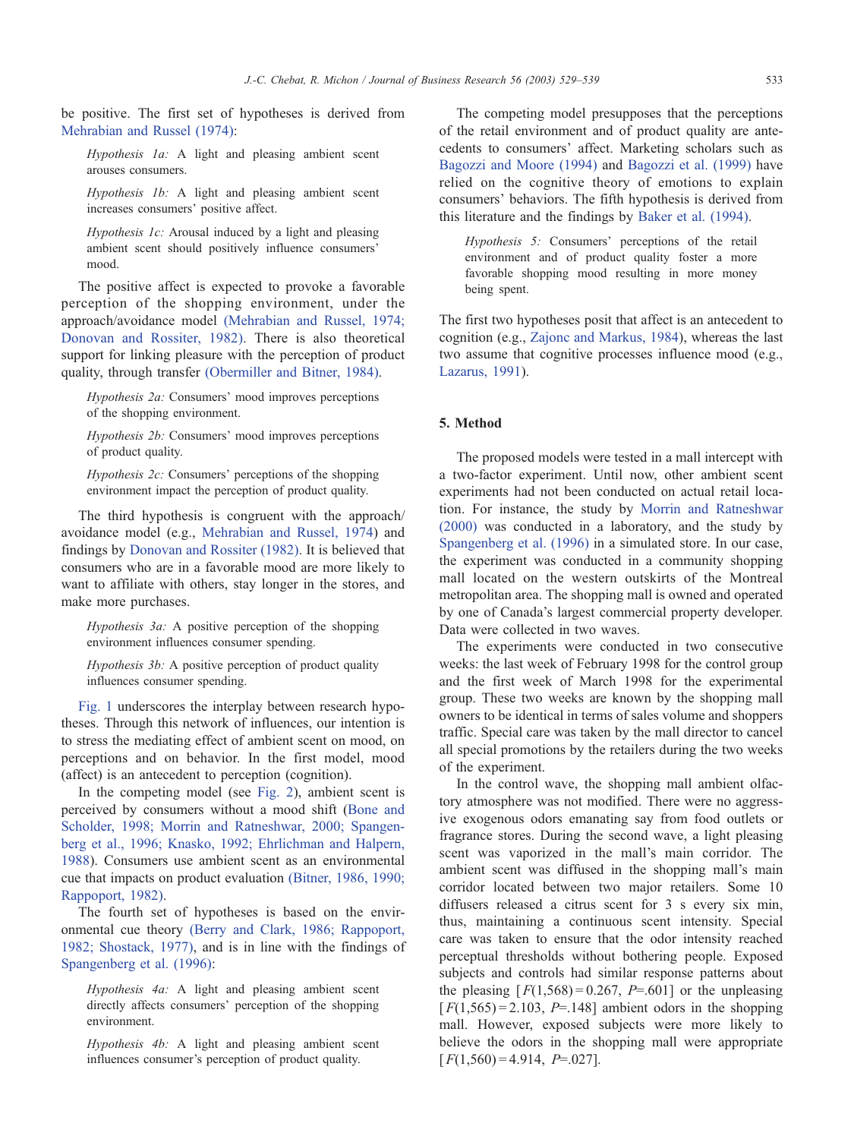be positive. The first set of hypotheses is derived from [Mehrabian and Russel \(1974\):](#page-10-0)

Hypothesis 1a: A light and pleasing ambient scent arouses consumers.

Hypothesis 1b: A light and pleasing ambient scent increases consumers' positive affect.

Hypothesis 1c: Arousal induced by a light and pleasing ambient scent should positively influence consumers' mood.

The positive affect is expected to provoke a favorable perception of the shopping environment, under the approach/avoidance model [\(Mehrabian and Russel, 1974;](#page-10-0) Donovan and Rossiter, 1982). There is also theoretical support for linking pleasure with the perception of product quality, through transfer [\(Obermiller and Bitner, 1984\).](#page-10-0)

Hypothesis 2a: Consumers' mood improves perceptions of the shopping environment.

Hypothesis 2b: Consumers' mood improves perceptions of product quality.

Hypothesis 2c: Consumers' perceptions of the shopping environment impact the perception of product quality.

The third hypothesis is congruent with the approach/ avoidance model (e.g., [Mehrabian and Russel, 1974\)](#page-10-0) and findings by [Donovan and Rossiter \(1982\).](#page-9-0) It is believed that consumers who are in a favorable mood are more likely to want to affiliate with others, stay longer in the stores, and make more purchases.

Hypothesis 3a: A positive perception of the shopping environment influences consumer spending.

Hypothesis 3b: A positive perception of product quality influences consumer spending.

[Fig. 1](#page-3-0) underscores the interplay between research hypotheses. Through this network of influences, our intention is to stress the mediating effect of ambient scent on mood, on perceptions and on behavior. In the first model, mood (affect) is an antecedent to perception (cognition).

In the competing model (see [Fig. 2\)](#page-3-0), ambient scent is perceived by consumers without a mood shift ([Bone and](#page-9-0) Scholder, 1998; Morrin and Ratneshwar, 2000; Spangenberg et al., 1996; Knasko, 1992; Ehrlichman and Halpern, 1988). Consumers use ambient scent as an environmental cue that impacts on product evaluation [\(Bitner, 1986, 1990;](#page-9-0) Rappoport, 1982).

The fourth set of hypotheses is based on the environmental cue theory [\(Berry and Clark, 1986; Rappoport,](#page-9-0) 1982; Shostack, 1977), and is in line with the findings of [Spangenberg et al. \(1996\):](#page-10-0)

Hypothesis 4a: A light and pleasing ambient scent directly affects consumers' perception of the shopping environment.

Hypothesis 4b: A light and pleasing ambient scent influences consumer's perception of product quality.

The competing model presupposes that the perceptions of the retail environment and of product quality are antecedents to consumers' affect. Marketing scholars such as [Bagozzi and Moore \(1994\)](#page-9-0) and [Bagozzi et al. \(1999\)](#page-9-0) have relied on the cognitive theory of emotions to explain consumers' behaviors. The fifth hypothesis is derived from this literature and the findings by [Baker et al. \(1994\).](#page-9-0)

Hypothesis 5: Consumers' perceptions of the retail environment and of product quality foster a more favorable shopping mood resulting in more money being spent.

The first two hypotheses posit that affect is an antecedent to cognition (e.g., [Zajonc and Markus, 1984\)](#page-10-0), whereas the last two assume that cognitive processes influence mood (e.g., [Lazarus, 1991\)](#page-10-0).

## 5. Method

The proposed models were tested in a mall intercept with a two-factor experiment. Until now, other ambient scent experiments had not been conducted on actual retail location. For instance, the study by [Morrin and Ratneshwar](#page-10-0) (2000) was conducted in a laboratory, and the study by [Spangenberg et al. \(1996\)](#page-10-0) in a simulated store. In our case, the experiment was conducted in a community shopping mall located on the western outskirts of the Montreal metropolitan area. The shopping mall is owned and operated by one of Canada's largest commercial property developer. Data were collected in two waves.

The experiments were conducted in two consecutive weeks: the last week of February 1998 for the control group and the first week of March 1998 for the experimental group. These two weeks are known by the shopping mall owners to be identical in terms of sales volume and shoppers traffic. Special care was taken by the mall director to cancel all special promotions by the retailers during the two weeks of the experiment.

In the control wave, the shopping mall ambient olfactory atmosphere was not modified. There were no aggressive exogenous odors emanating say from food outlets or fragrance stores. During the second wave, a light pleasing scent was vaporized in the mall's main corridor. The ambient scent was diffused in the shopping mall's main corridor located between two major retailers. Some 10 diffusers released a citrus scent for 3 s every six min, thus, maintaining a continuous scent intensity. Special care was taken to ensure that the odor intensity reached perceptual thresholds without bothering people. Exposed subjects and controls had similar response patterns about the pleasing  $[F(1,568) = 0.267, P = .601]$  or the unpleasing  $[F(1,565) = 2.103, P=.148]$  ambient odors in the shopping mall. However, exposed subjects were more likely to believe the odors in the shopping mall were appropriate  $[F(1,560) = 4.914, P = .027]$ .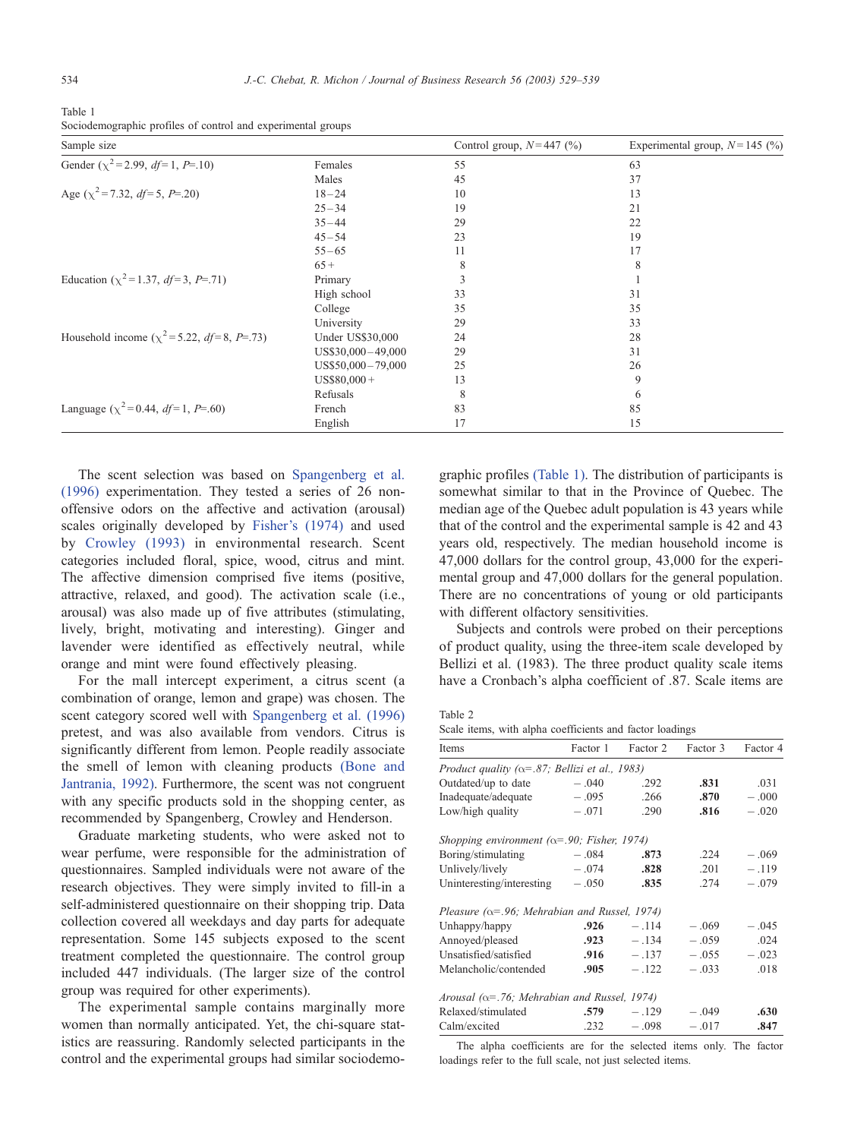<span id="page-5-0"></span>Table 1 Sociodemographic profiles of control and experimental groups

| Sample size                                                     |                         | Control group, $N=447$ (%) | Experimental group, $N = 145$ (%) |
|-----------------------------------------------------------------|-------------------------|----------------------------|-----------------------------------|
| Gender $(\chi^2 = 2.99, df = 1, P = .10)$                       | Females                 | 55                         | 63                                |
|                                                                 | Males                   | 45                         | 37                                |
| Age $(\chi^2 = 7.32, df = 5, P = .20)$                          | $18 - 24$               | 10                         | 13                                |
|                                                                 | $25 - 34$               | 19                         | 21                                |
|                                                                 | $35 - 44$               | 29                         | 22                                |
|                                                                 | $45 - 54$               | 23                         | 19                                |
|                                                                 | $55 - 65$               | 11                         | 17                                |
|                                                                 | $65+$                   | 8                          | 8                                 |
| Education ( $\chi^2$ =1.37, <i>df</i> =3, <i>P</i> =.71)        | Primary                 |                            |                                   |
|                                                                 | High school             | 33                         | 31                                |
|                                                                 | College                 | 35                         | 35                                |
|                                                                 | University              | 29                         | 33                                |
| Household income ( $\chi^2$ =5.22, <i>df</i> =8, <i>P</i> =.73) | <b>Under US\$30,000</b> | 24                         | 28                                |
|                                                                 | US\$30,000-49,000       | 29                         | 31                                |
|                                                                 | US\$50,000-79,000       | 25                         | 26                                |
|                                                                 | $US$80,000+$            | 13                         | 9                                 |
|                                                                 | Refusals                | 8                          | 6                                 |
| Language ( $\chi^2$ =0.44, <i>df</i> =1, <i>P</i> =.60)         | French                  | 83                         | 85                                |
|                                                                 | English                 | 17                         | 15                                |

The scent selection was based on [Spangenberg et al.](#page-10-0) (1996) experimentation. They tested a series of 26 nonoffensive odors on the affective and activation (arousal) scales originally developed by [Fisher's \(1974\)](#page-9-0) and used by [Crowley \(1993\)](#page-9-0) in environmental research. Scent categories included floral, spice, wood, citrus and mint. The affective dimension comprised five items (positive, attractive, relaxed, and good). The activation scale (i.e., arousal) was also made up of five attributes (stimulating, lively, bright, motivating and interesting). Ginger and lavender were identified as effectively neutral, while orange and mint were found effectively pleasing.

For the mall intercept experiment, a citrus scent (a combination of orange, lemon and grape) was chosen. The scent category scored well with [Spangenberg et al. \(1996\)](#page-10-0) pretest, and was also available from vendors. Citrus is significantly different from lemon. People readily associate the smell of lemon with cleaning products [\(Bone and](#page-9-0) Jantrania, 1992). Furthermore, the scent was not congruent with any specific products sold in the shopping center, as recommended by Spangenberg, Crowley and Henderson.

Graduate marketing students, who were asked not to wear perfume, were responsible for the administration of questionnaires. Sampled individuals were not aware of the research objectives. They were simply invited to fill-in a self-administered questionnaire on their shopping trip. Data collection covered all weekdays and day parts for adequate representation. Some 145 subjects exposed to the scent treatment completed the questionnaire. The control group included 447 individuals. (The larger size of the control group was required for other experiments).

The experimental sample contains marginally more women than normally anticipated. Yet, the chi-square statistics are reassuring. Randomly selected participants in the control and the experimental groups had similar sociodemographic profiles (Table 1). The distribution of participants is somewhat similar to that in the Province of Quebec. The median age of the Quebec adult population is 43 years while that of the control and the experimental sample is 42 and 43 years old, respectively. The median household income is 47,000 dollars for the control group, 43,000 for the experimental group and 47,000 dollars for the general population. There are no concentrations of young or old participants with different olfactory sensitivities.

Subjects and controls were probed on their perceptions of product quality, using the three-item scale developed by Bellizi et al. (1983). The three product quality scale items have a Cronbach's alpha coefficient of .87. Scale items are

| w<br>٧<br>۹ |  |
|-------------|--|
|             |  |

Scale items, with alpha coefficients and factor loadings

| Items                                                  | Factor 1 | Factor 2 | Factor 3 | Factor 4 |
|--------------------------------------------------------|----------|----------|----------|----------|
| Product quality ( $\alpha$ =.87; Bellizi et al., 1983) |          |          |          |          |
| Outdated/up to date                                    | $-.040$  | .292     | .831     | .031     |
| Inadequate/adequate                                    | $-.095$  | .266     | .870     | $-.000$  |
| Low/high quality                                       | $-.071$  | .290     | .816     | $-.020$  |
| Shopping environment ( $\alpha$ =.90; Fisher, 1974)    |          |          |          |          |
| Boring/stimulating                                     | $-.084$  | .873     | .224     | $-.069$  |
| Unlively/lively                                        | $-.074$  | .828     | .201     | $-.119$  |
| Uninteresting/interesting                              | $-.050$  | .835     | .274     | $-.079$  |
| Pleasure ( $\alpha$ =.96; Mehrabian and Russel, 1974)  |          |          |          |          |
| Unhappy/happy                                          | .926     | $-.114$  | $-.069$  | $-.045$  |
| Annoyed/pleased                                        | .923     | $-.134$  | $-.059$  | .024     |
| Unsatisfied/satisfied                                  | .916     | $-.137$  | $-.055$  | $-.023$  |
| Melancholic/contended                                  | .905     | $-.122$  | $-.033$  | .018     |
| Arousal ( $\alpha$ =.76; Mehrabian and Russel, 1974)   |          |          |          |          |
| Relaxed/stimulated                                     | .579     | $-.129$  | $-.049$  | .630     |
| Calm/excited                                           | .232     | $-.098$  | $-.017$  | .847     |

The alpha coefficients are for the selected items only. The factor loadings refer to the full scale, not just selected items.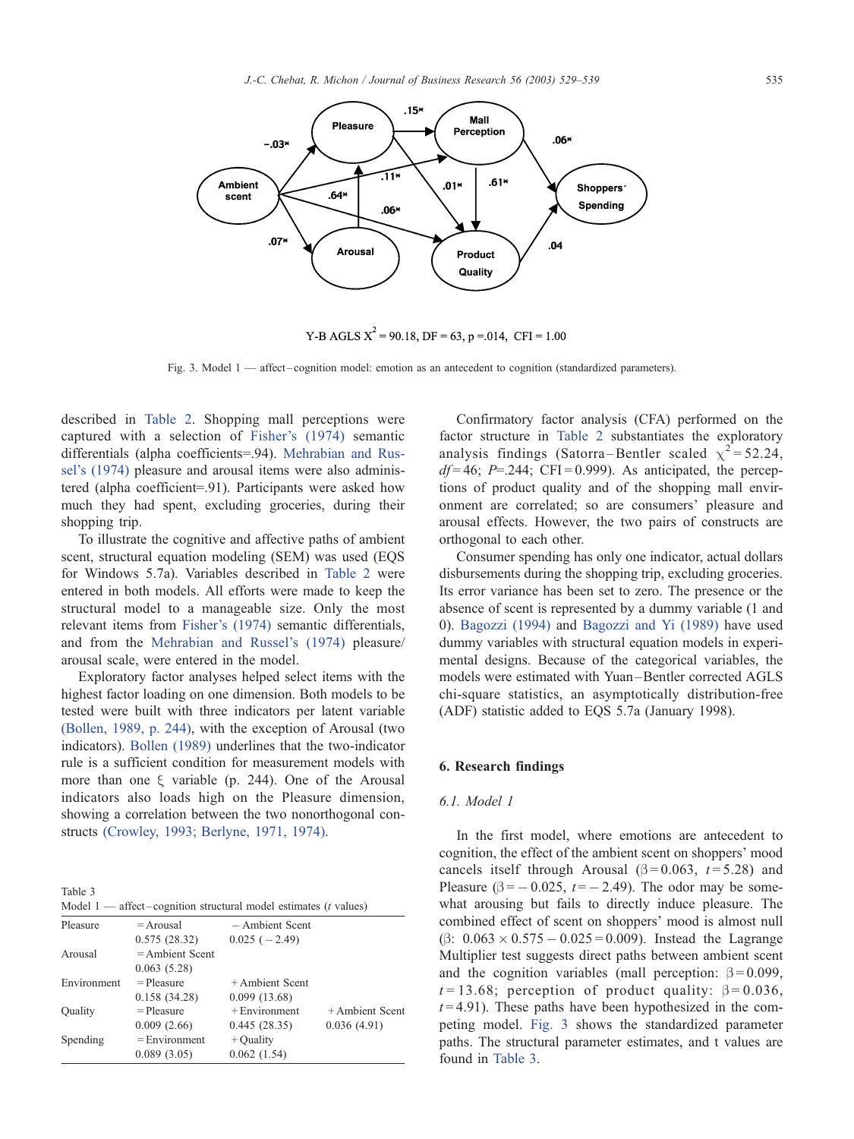

Y-B AGLS  $X^2$  = 90.18, DF = 63, p = 014, CFI = 1.00

Fig. 3. Model 1 — affect-cognition model: emotion as an antecedent to cognition (standardized parameters).

described in [Table 2.](#page-5-0) Shopping mall perceptions were captured with a selection of [Fisher's \(1974\)](#page-9-0) semantic differentials (alpha coefficients=.94). [Mehrabian and Rus](#page-10-0)sel's (1974) pleasure and arousal items were also administered (alpha coefficient=.91). Participants were asked how much they had spent, excluding groceries, during their shopping trip.

To illustrate the cognitive and affective paths of ambient scent, structural equation modeling (SEM) was used (EQS for Windows 5.7a). Variables described in [Table 2](#page-5-0) were entered in both models. All efforts were made to keep the structural model to a manageable size. Only the most relevant items from [Fisher's \(1974\)](#page-9-0) semantic differentials, and from the [Mehrabian and Russel's \(1974\)](#page-10-0) pleasure/ arousal scale, were entered in the model.

Exploratory factor analyses helped select items with the highest factor loading on one dimension. Both models to be tested were built with three indicators per latent variable [\(Bollen, 1989, p. 244\)](#page-9-0), with the exception of Arousal (two indicators). [Bollen \(1989\)](#page-9-0) underlines that the two-indicator rule is a sufficient condition for measurement models with more than one  $\xi$  variable (p. 244). One of the Arousal indicators also loads high on the Pleasure dimension, showing a correlation between the two nonorthogonal constructs [\(Crowley, 1993; Berlyne, 1971, 1974\).](#page-9-0)

Table 3

| Model 1 — affect-cognition structural model estimates ( $t$ values) |                   |                   |                   |  |
|---------------------------------------------------------------------|-------------------|-------------------|-------------------|--|
| Pleasure                                                            | $= Arousal$       | $-$ Ambient Scent |                   |  |
|                                                                     | 0.575(28.32)      | $0.025(-2.49)$    |                   |  |
| Arousal                                                             | $=$ Ambient Scent |                   |                   |  |
|                                                                     | 0.063(5.28)       |                   |                   |  |
| Environment                                                         | $=$ Pleasure      | $+$ Ambient Scent |                   |  |
|                                                                     | 0.158(34.28)      | 0.099(13.68)      |                   |  |
| Ouality                                                             | $=$ Pleasure      | $+$ Environment   | $+$ Ambient Scent |  |
|                                                                     | 0.009(2.66)       | 0.445(28.35)      | 0.036(4.91)       |  |
| Spending                                                            | $=$ Environment   | $+$ Quality       |                   |  |
|                                                                     | 0.089(3.05)       | 0.062(1.54)       |                   |  |

Confirmatory factor analysis (CFA) performed on the factor structure in [Table 2](#page-5-0) substantiates the exploratory analysis findings (Satorra–Bentler scaled  $\chi^2$  = 52.24,  $df = 46$ ; P=.244; CFI=0.999). As anticipated, the perceptions of product quality and of the shopping mall environment are correlated; so are consumers' pleasure and arousal effects. However, the two pairs of constructs are orthogonal to each other.

Consumer spending has only one indicator, actual dollars disbursements during the shopping trip, excluding groceries. Its error variance has been set to zero. The presence or the absence of scent is represented by a dummy variable (1 and 0). [Bagozzi \(1994\)](#page-9-0) and [Bagozzi and Yi \(1989\)](#page-9-0) have used dummy variables with structural equation models in experimental designs. Because of the categorical variables, the models were estimated with Yuan –Bentler corrected AGLS chi-square statistics, an asymptotically distribution-free (ADF) statistic added to EQS 5.7a (January 1998).

#### 6. Research findings

#### 6.1. Model 1

In the first model, where emotions are antecedent to cognition, the effect of the ambient scent on shoppers' mood cancels itself through Arousal ( $\beta$ =0.063, t=5.28) and Pleasure ( $\beta$  =  $-$  0.025, t =  $-$  2.49). The odor may be somewhat arousing but fails to directly induce pleasure. The combined effect of scent on shoppers' mood is almost null  $(\beta: 0.063 \times 0.575 - 0.025 = 0.009)$ . Instead the Lagrange Multiplier test suggests direct paths between ambient scent and the cognition variables (mall perception:  $\beta = 0.099$ ,  $t = 13.68$ ; perception of product quality:  $\beta = 0.036$ ,  $t = 4.91$ ). These paths have been hypothesized in the competing model. Fig. 3 shows the standardized parameter paths. The structural parameter estimates, and t values are found in Table 3.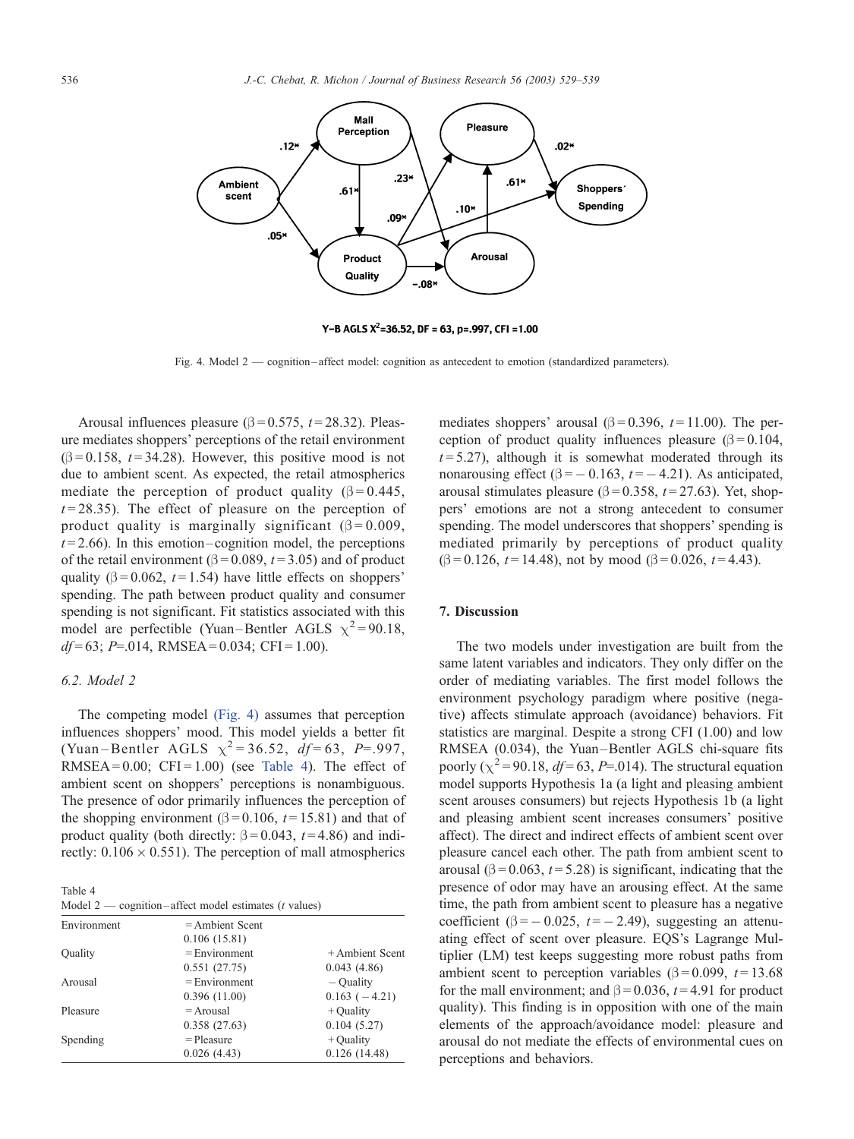

Y-B AGLS  $X^2$ =36.52, DF = 63, p=.997, CFI = 1.00

Fig. 4. Model 2 — cognition – affect model: cognition as antecedent to emotion (standardized parameters).

Arousal influences pleasure ( $\beta$  = 0.575, *t* = 28.32). Pleasure mediates shoppers' perceptions of the retail environment  $(\beta = 0.158, t = 34.28)$ . However, this positive mood is not due to ambient scent. As expected, the retail atmospherics mediate the perception of product quality ( $\beta = 0.445$ ,  $t = 28.35$ ). The effect of pleasure on the perception of product quality is marginally significant ( $\beta = 0.009$ ,  $t = 2.66$ ). In this emotion-cognition model, the perceptions of the retail environment ( $\beta$  = 0.089, t = 3.05) and of product quality ( $\beta$  = 0.062, t = 1.54) have little effects on shoppers' spending. The path between product quality and consumer spending is not significant. Fit statistics associated with this model are perfectible (Yuan-Bentler AGLS  $\chi^2$  = 90.18,  $df=63$ ; P=.014, RMSEA = 0.034; CFI = 1.00).

# 6.2. Model 2

The competing model (Fig. 4) assumes that perception influences shoppers' mood. This model yields a better fit (Yuan-Bentler AGLS  $\chi^2 = 36.52$ ,  $df = 63$ , P=.997, RMSEA =  $0.00$ ; CFI =  $1.00$ ) (see Table 4). The effect of ambient scent on shoppers' perceptions is nonambiguous. The presence of odor primarily influences the perception of the shopping environment ( $\beta$  = 0.106, t = 15.81) and that of product quality (both directly:  $\beta = 0.043$ ,  $t = 4.86$ ) and indirectly:  $0.106 \times 0.551$ ). The perception of mall atmospherics

Table 4 Model  $2$  — cognition-affect model estimates (*t* values)

| Environment | $=$ Ambient Scent   |                   |
|-------------|---------------------|-------------------|
|             | 0.106(15.81)        |                   |
| Ouality     | $=$ Environment     | $+$ Ambient Scent |
|             | 0.551(27.75)        | 0.043(4.86)       |
| Arousal     | $=$ Environment     | $-$ Ouality       |
|             | 0.396(11.00)        | $0.163(-4.21)$    |
| Pleasure    | $= A \text{rousal}$ | $+$ Ouality       |
|             | 0.358(27.63)        | 0.104(5.27)       |
| Spending    | $=$ Pleasure        | $+$ Ouality       |
|             | 0.026(4.43)         | 0.126(14.48)      |

mediates shoppers' arousal ( $\beta$  = 0.396, t = 11.00). The perception of product quality influences pleasure  $(\beta = 0.104,$  $t = 5.27$ ), although it is somewhat moderated through its nonarousing effect ( $\beta$  = -0.163, t = -4.21). As anticipated, arousal stimulates pleasure ( $\beta$  = 0.358, *t* = 27.63). Yet, shoppers' emotions are not a strong antecedent to consumer spending. The model underscores that shoppers' spending is mediated primarily by perceptions of product quality  $(\beta = 0.126, t = 14.48)$ , not by mood  $(\beta = 0.026, t = 4.43)$ .

#### 7. Discussion

The two models under investigation are built from the same latent variables and indicators. They only differ on the order of mediating variables. The first model follows the environment psychology paradigm where positive (negative) affects stimulate approach (avoidance) behaviors. Fit statistics are marginal. Despite a strong CFI (1.00) and low RMSEA (0.034), the Yuan–Bentler AGLS chi-square fits poorly ( $\chi^2$  = 90.18, *df* = 63, *P*=.014). The structural equation model supports Hypothesis 1a (a light and pleasing ambient scent arouses consumers) but rejects Hypothesis 1b (a light and pleasing ambient scent increases consumers' positive affect). The direct and indirect effects of ambient scent over pleasure cancel each other. The path from ambient scent to arousal ( $\beta$  = 0.063, *t* = 5.28) is significant, indicating that the presence of odor may have an arousing effect. At the same time, the path from ambient scent to pleasure has a negative coefficient ( $\beta$  = -0.025, t = -2.49), suggesting an attenuating effect of scent over pleasure. EQS's Lagrange Multiplier (LM) test keeps suggesting more robust paths from ambient scent to perception variables ( $\beta$  = 0.099, t = 13.68 for the mall environment; and  $\beta = 0.036$ ,  $t = 4.91$  for product quality). This finding is in opposition with one of the main elements of the approach/avoidance model: pleasure and arousal do not mediate the effects of environmental cues on perceptions and behaviors.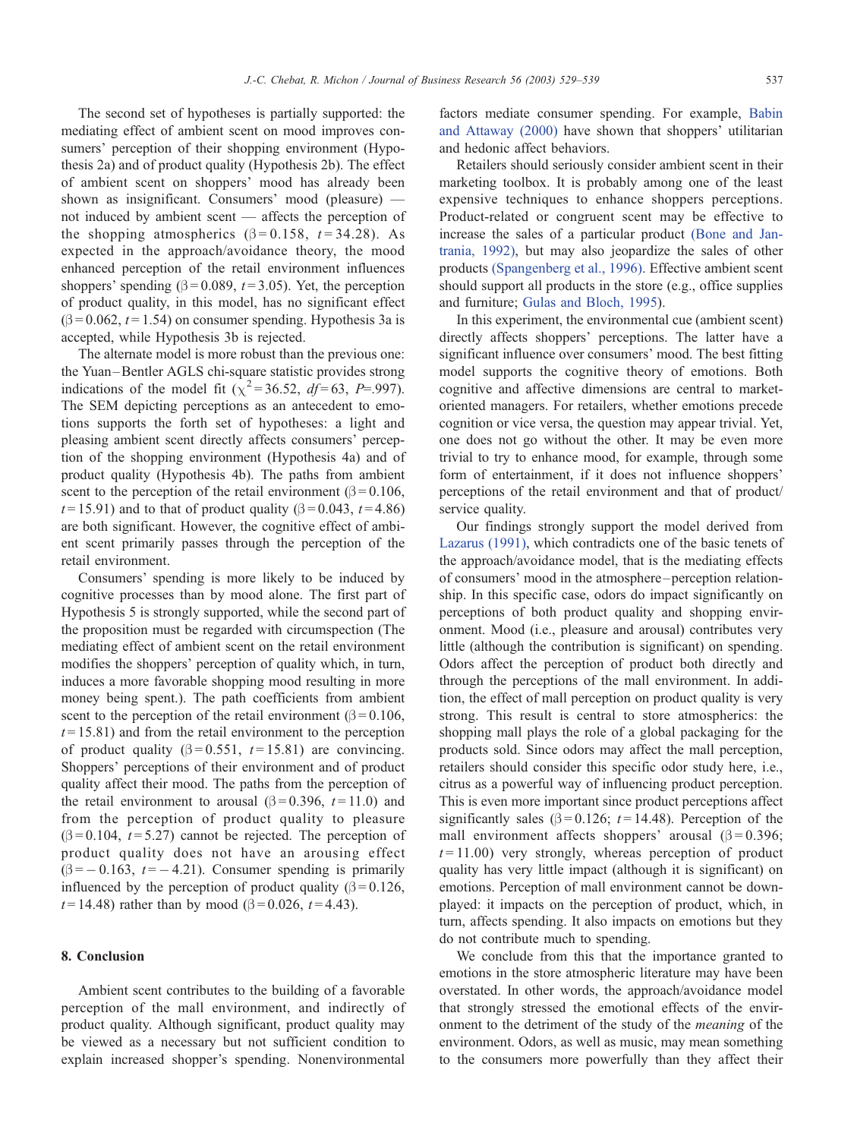The second set of hypotheses is partially supported: the mediating effect of ambient scent on mood improves consumers' perception of their shopping environment (Hypothesis 2a) and of product quality (Hypothesis 2b). The effect of ambient scent on shoppers' mood has already been shown as insignificant. Consumers' mood (pleasure) not induced by ambient scent — affects the perception of the shopping atmospherics ( $\beta = 0.158$ ,  $t = 34.28$ ). As expected in the approach/avoidance theory, the mood enhanced perception of the retail environment influences shoppers' spending ( $\beta$  = 0.089, *t* = 3.05). Yet, the perception of product quality, in this model, has no significant effect  $(\beta = 0.062, t = 1.54)$  on consumer spending. Hypothesis 3a is accepted, while Hypothesis 3b is rejected.

The alternate model is more robust than the previous one: the Yuan–Bentler AGLS chi-square statistic provides strong indications of the model fit ( $\chi^2$ =36.52, *df*=63, *P*=.997). The SEM depicting perceptions as an antecedent to emotions supports the forth set of hypotheses: a light and pleasing ambient scent directly affects consumers' perception of the shopping environment (Hypothesis 4a) and of product quality (Hypothesis 4b). The paths from ambient scent to the perception of the retail environment ( $\beta$  = 0.106,  $t = 15.91$ ) and to that of product quality ( $\beta = 0.043$ ,  $t = 4.86$ ) are both significant. However, the cognitive effect of ambient scent primarily passes through the perception of the retail environment.

Consumers' spending is more likely to be induced by cognitive processes than by mood alone. The first part of Hypothesis 5 is strongly supported, while the second part of the proposition must be regarded with circumspection (The mediating effect of ambient scent on the retail environment modifies the shoppers' perception of quality which, in turn, induces a more favorable shopping mood resulting in more money being spent.). The path coefficients from ambient scent to the perception of the retail environment ( $\beta$  = 0.106,  $t = 15.81$ ) and from the retail environment to the perception of product quality ( $\beta$ =0.551, t=15.81) are convincing. Shoppers' perceptions of their environment and of product quality affect their mood. The paths from the perception of the retail environment to arousal  $(\beta = 0.396, t = 11.0)$  and from the perception of product quality to pleasure  $(\beta = 0.104, t = 5.27)$  cannot be rejected. The perception of product quality does not have an arousing effect  $(\beta = -0.163, t = -4.21)$ . Consumer spending is primarily influenced by the perception of product quality  $(\beta = 0.126,$  $t = 14.48$ ) rather than by mood ( $\beta = 0.026$ ,  $t = 4.43$ ).

## 8. Conclusion

Ambient scent contributes to the building of a favorable perception of the mall environment, and indirectly of product quality. Although significant, product quality may be viewed as a necessary but not sufficient condition to explain increased shopper's spending. Nonenvironmental

factors mediate consumer spending. For example, [Babin](#page-9-0) and Attaway (2000) have shown that shoppers' utilitarian and hedonic affect behaviors.

Retailers should seriously consider ambient scent in their marketing toolbox. It is probably among one of the least expensive techniques to enhance shoppers perceptions. Product-related or congruent scent may be effective to increase the sales of a particular product [\(Bone and Jan](#page-9-0)trania, 1992), but may also jeopardize the sales of other products [\(Spangenberg et al., 1996\).](#page-10-0) Effective ambient scent should support all products in the store (e.g., office supplies and furniture; [Gulas and Bloch, 1995\)](#page-9-0).

In this experiment, the environmental cue (ambient scent) directly affects shoppers' perceptions. The latter have a significant influence over consumers' mood. The best fitting model supports the cognitive theory of emotions. Both cognitive and affective dimensions are central to marketoriented managers. For retailers, whether emotions precede cognition or vice versa, the question may appear trivial. Yet, one does not go without the other. It may be even more trivial to try to enhance mood, for example, through some form of entertainment, if it does not influence shoppers' perceptions of the retail environment and that of product/ service quality.

Our findings strongly support the model derived from [Lazarus \(1991\),](#page-10-0) which contradicts one of the basic tenets of the approach/avoidance model, that is the mediating effects of consumers' mood in the atmosphere– perception relationship. In this specific case, odors do impact significantly on perceptions of both product quality and shopping environment. Mood (i.e., pleasure and arousal) contributes very little (although the contribution is significant) on spending. Odors affect the perception of product both directly and through the perceptions of the mall environment. In addition, the effect of mall perception on product quality is very strong. This result is central to store atmospherics: the shopping mall plays the role of a global packaging for the products sold. Since odors may affect the mall perception, retailers should consider this specific odor study here, i.e., citrus as a powerful way of influencing product perception. This is even more important since product perceptions affect significantly sales ( $\beta$ =0.126; t=14.48). Perception of the mall environment affects shoppers' arousal  $(\beta = 0.396)$ ;  $t = 11.00$ ) very strongly, whereas perception of product quality has very little impact (although it is significant) on emotions. Perception of mall environment cannot be downplayed: it impacts on the perception of product, which, in turn, affects spending. It also impacts on emotions but they do not contribute much to spending.

We conclude from this that the importance granted to emotions in the store atmospheric literature may have been overstated. In other words, the approach/avoidance model that strongly stressed the emotional effects of the environment to the detriment of the study of the meaning of the environment. Odors, as well as music, may mean something to the consumers more powerfully than they affect their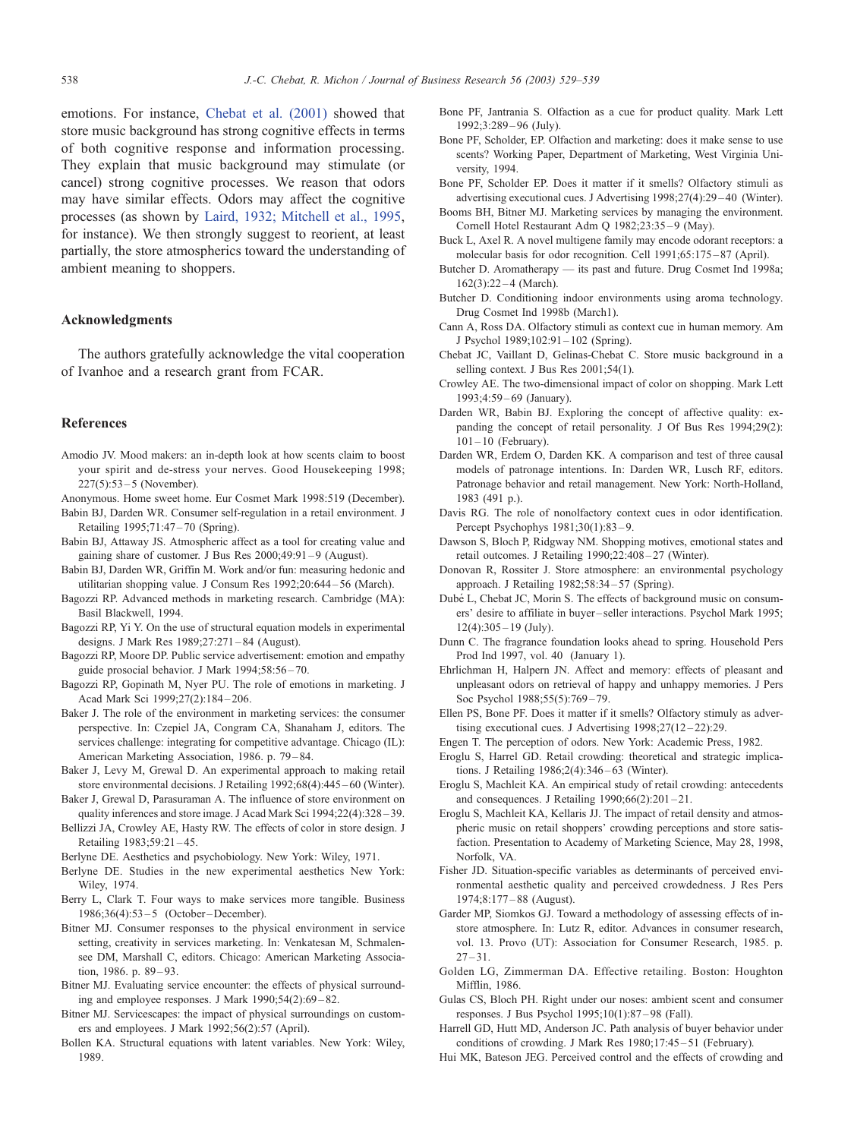<span id="page-9-0"></span>emotions. For instance, Chebat et al. (2001) showed that store music background has strong cognitive effects in terms of both cognitive response and information processing. They explain that music background may stimulate (or cancel) strong cognitive processes. We reason that odors may have similar effects. Odors may affect the cognitive processes (as shown by [Laird, 1932; Mitchell et al., 1995,](#page-10-0) for instance). We then strongly suggest to reorient, at least partially, the store atmospherics toward the understanding of ambient meaning to shoppers.

#### Acknowledgments

The authors gratefully acknowledge the vital cooperation of Ivanhoe and a research grant from FCAR.

#### References

- Amodio JV. Mood makers: an in-depth look at how scents claim to boost your spirit and de-stress your nerves. Good Housekeeping 1998;  $227(5):53 - 5$  (November).
- Anonymous. Home sweet home. Eur Cosmet Mark 1998:519 (December).
- Babin BJ, Darden WR. Consumer self-regulation in a retail environment. J Retailing 1995;71:47 – 70 (Spring).
- Babin BJ, Attaway JS. Atmospheric affect as a tool for creating value and gaining share of customer. J Bus Res 2000;49:91 – 9 (August).
- Babin BJ, Darden WR, Griffin M. Work and/or fun: measuring hedonic and utilitarian shopping value. J Consum Res 1992;20:644 – 56 (March).
- Bagozzi RP. Advanced methods in marketing research. Cambridge (MA): Basil Blackwell, 1994.
- Bagozzi RP, Yi Y. On the use of structural equation models in experimental designs. J Mark Res 1989;27:271 – 84 (August).
- Bagozzi RP, Moore DP. Public service advertisement: emotion and empathy guide prosocial behavior. J Mark 1994;58:56 – 70.
- Bagozzi RP, Gopinath M, Nyer PU. The role of emotions in marketing. J Acad Mark Sci 1999;27(2):184 – 206.
- Baker J. The role of the environment in marketing services: the consumer perspective. In: Czepiel JA, Congram CA, Shanaham J, editors. The services challenge: integrating for competitive advantage. Chicago (IL): American Marketing Association, 1986. p. 79 – 84.
- Baker J, Levy M, Grewal D. An experimental approach to making retail store environmental decisions. J Retailing 1992;68(4):445 – 60 (Winter).
- Baker J, Grewal D, Parasuraman A. The influence of store environment on quality inferences and store image. J Acad Mark Sci 1994;22(4):328 – 39.
- Bellizzi JA, Crowley AE, Hasty RW. The effects of color in store design. J Retailing 1983;59:21 – 45.
- Berlyne DE. Aesthetics and psychobiology. New York: Wiley, 1971.
- Berlyne DE. Studies in the new experimental aesthetics New York: Wiley, 1974.
- Berry L, Clark T. Four ways to make services more tangible. Business 1986;36(4):53 – 5 (October – December).
- Bitner MJ. Consumer responses to the physical environment in service setting, creativity in services marketing. In: Venkatesan M, Schmalensee DM, Marshall C, editors. Chicago: American Marketing Association, 1986. p. 89-93.
- Bitner MJ. Evaluating service encounter: the effects of physical surrounding and employee responses. J Mark 1990;54(2):69 – 82.
- Bitner MJ. Servicescapes: the impact of physical surroundings on customers and employees. J Mark 1992;56(2):57 (April).
- Bollen KA. Structural equations with latent variables. New York: Wiley, 1989.
- Bone PF, Jantrania S. Olfaction as a cue for product quality. Mark Lett 1992;3:289 – 96 (July).
- Bone PF, Scholder, EP. Olfaction and marketing: does it make sense to use scents? Working Paper, Department of Marketing, West Virginia University, 1994.
- Bone PF, Scholder EP. Does it matter if it smells? Olfactory stimuli as advertising executional cues. J Advertising 1998;27(4):29 – 40 (Winter).
- Booms BH, Bitner MJ. Marketing services by managing the environment. Cornell Hotel Restaurant Adm Q 1982;23:35-9 (May).
- Buck L, Axel R. A novel multigene family may encode odorant receptors: a molecular basis for odor recognition. Cell 1991;65:175 – 87 (April).
- Butcher D. Aromatherapy its past and future. Drug Cosmet Ind 1998a; 162(3):22-4 (March).
- Butcher D. Conditioning indoor environments using aroma technology. Drug Cosmet Ind 1998b (March1).
- Cann A, Ross DA. Olfactory stimuli as context cue in human memory. Am J Psychol 1989;102:91 – 102 (Spring).
- Chebat JC, Vaillant D, Gelinas-Chebat C. Store music background in a selling context. J Bus Res 2001;54(1).
- Crowley AE. The two-dimensional impact of color on shopping. Mark Lett 1993;4:59-69 (January).
- Darden WR, Babin BJ. Exploring the concept of affective quality: expanding the concept of retail personality. J Of Bus Res 1994;29(2):  $101 - 10$  (February).
- Darden WR, Erdem O, Darden KK. A comparison and test of three causal models of patronage intentions. In: Darden WR, Lusch RF, editors. Patronage behavior and retail management. New York: North-Holland, 1983 (491 p.).
- Davis RG. The role of nonolfactory context cues in odor identification. Percept Psychophys 1981;30(1):83 – 9.
- Dawson S, Bloch P, Ridgway NM. Shopping motives, emotional states and retail outcomes. J Retailing 1990;22:408 – 27 (Winter).
- Donovan R, Rossiter J. Store atmosphere: an environmental psychology approach. J Retailing 1982;58:34 – 57 (Spring).
- Dubé L, Chebat JC, Morin S. The effects of background music on consumers' desire to affiliate in buyer – seller interactions. Psychol Mark 1995;  $12(4):305 - 19$  (July).
- Dunn C. The fragrance foundation looks ahead to spring. Household Pers Prod Ind 1997, vol. 40 (January 1).
- Ehrlichman H, Halpern JN. Affect and memory: effects of pleasant and unpleasant odors on retrieval of happy and unhappy memories. J Pers Soc Psychol 1988;55(5):769-79.
- Ellen PS, Bone PF. Does it matter if it smells? Olfactory stimuly as advertising executional cues. J Advertising 1998;27(12 – 22):29.
- Engen T. The perception of odors. New York: Academic Press, 1982.
- Eroglu S, Harrel GD. Retail crowding: theoretical and strategic implications. J Retailing 1986;2(4):346 – 63 (Winter).
- Eroglu S, Machleit KA. An empirical study of retail crowding: antecedents and consequences. J Retailing 1990;66(2):201-21.
- Eroglu S, Machleit KA, Kellaris JJ. The impact of retail density and atmospheric music on retail shoppers' crowding perceptions and store satisfaction. Presentation to Academy of Marketing Science, May 28, 1998, Norfolk, VA.
- Fisher JD. Situation-specific variables as determinants of perceived environmental aesthetic quality and perceived crowdedness. J Res Pers 1974;8:177 – 88 (August).
- Garder MP, Siomkos GJ. Toward a methodology of assessing effects of instore atmosphere. In: Lutz R, editor. Advances in consumer research, vol. 13. Provo (UT): Association for Consumer Research, 1985. p.  $27 - 31$ .
- Golden LG, Zimmerman DA. Effective retailing. Boston: Houghton Mifflin, 1986.
- Gulas CS, Bloch PH. Right under our noses: ambient scent and consumer responses. J Bus Psychol 1995;10(1):87 – 98 (Fall).
- Harrell GD, Hutt MD, Anderson JC. Path analysis of buyer behavior under conditions of crowding. J Mark Res 1980;17:45-51 (February).
- Hui MK, Bateson JEG. Perceived control and the effects of crowding and